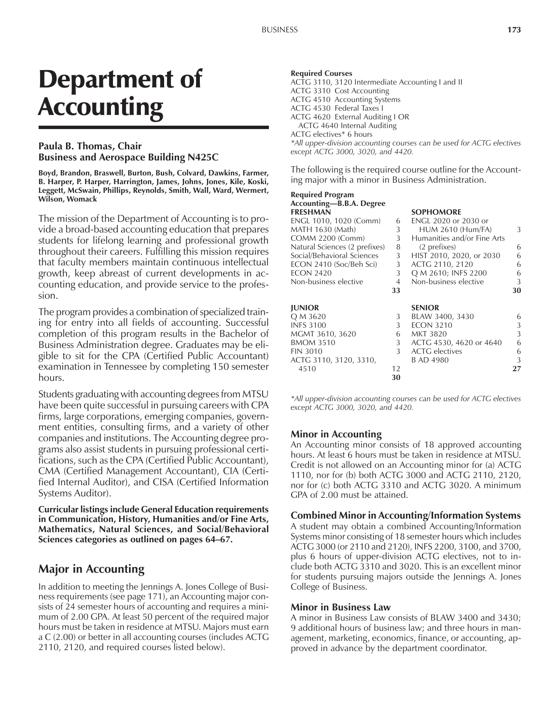# Department of **Accounting**

## **Paula B. Thomas, Chair Business and Aerospace Building N425C**

**Boyd, Brandon, Braswell, Burton, Bush, Colvard, Dawkins, Farmer, B. Harper, P. Harper, Harrington, James, Johns, Jones, Kile, Koski, Leggett, McSwain, Phillips, Reynolds, Smith, Wall, Ward, Wermert, Wilson, Womack**

The mission of the Department of Accounting is to provide a broad-based accounting education that prepares students for lifelong learning and professional growth throughout their careers. Fulfilling this mission requires that faculty members maintain continuous intellectual growth, keep abreast of current developments in accounting education, and provide service to the profession.

The program provides a combination of specialized training for entry into all fields of accounting. Successful completion of this program results in the Bachelor of Business Administration degree. Graduates may be eligible to sit for the CPA (Certified Public Accountant) examination in Tennessee by completing 150 semester hours.

Students graduating with accounting degrees from MTSU have been quite successful in pursuing careers with CPA firms, large corporations, emerging companies, government entities, consulting firms, and a variety of other companies and institutions. The Accounting degree programs also assist students in pursuing professional certifications, such as the CPA (Certified Public Accountant), CMA (Certified Management Accountant), CIA (Certified Internal Auditor), and CISA (Certified Information Systems Auditor).

**Curricular listings include General Education requirements in Communication, History, Humanities and/or Fine Arts, Mathematics, Natural Sciences, and Social/Behavioral** Sciences categories as outlined on pages 64–67.

# **Major in Accounting**

In addition to meeting the Jennings A. Jones College of Business requirements (see page 171), an Accounting major consists of 24 semester hours of accounting and requires a minimum of 2.00 GPA. At least 50 percent of the required major hours must be taken in residence at MTSU. Majors must earn a C (2.00) or better in all accounting courses (includes ACTG 2110, 2120, and required courses listed below).

#### **Required Courses**

ACTG 3110, 3120 Intermediate Accounting I and II ACTG 3310 Cost Accounting ACTG 4510 Accounting Systems ACTG 4530 Federal Taxes I ACTG 4620 External Auditing I OR ACTG 4640 Internal Auditing ACTG electives\* 6 hours *\*All upper-division accounting courses can be used for ACTG electives*

The following is the required course outline for the Accounting major with a minor in Business Administration.

## **Required Program** Accounting—B.B.A. Degree

*except ACTG 3000, 3020, and 4420.*

| FRESHMAN                      |    | <b>SOPHOMORE</b>            |    |
|-------------------------------|----|-----------------------------|----|
| ENGL 1010, 1020 (Comm)        | 6  | ENGL 2020 or 2030 or        |    |
| MATH 1630 (Math)              | 3  | <b>HUM 2610 (Hum/FA)</b>    | 3  |
| <b>COMM 2200 (Comm)</b>       | 3  | Humanities and/or Fine Arts |    |
| Natural Sciences (2 prefixes) | 8  | (2 prefixes)                | 6  |
| Social/Behavioral Sciences    | 3  | HIST 2010, 2020, or 2030    | 6  |
| ECON 2410 (Soc/Beh Sci)       | 3  | ACTG 2110, 2120             | 6  |
| <b>ECON 2420</b>              | 3  | Q M 2610; INFS 2200         | 6  |
| Non-business elective         | 4  | Non-business elective       | 3  |
|                               | 33 |                             | 30 |
| <b>JUNIOR</b>                 |    | <b>SENIOR</b>               |    |
| Q M 3620                      | 3  | BLAW 3400, 3430             | 6  |
| <b>INFS 3100</b>              | 3  | <b>ECON 3210</b>            | 3  |
| MGMT 3610, 3620               | 6  | MKT 3820                    | 3  |
| <b>BMOM 3510</b>              | 3  | ACTG 4530, 4620 or 4640     | 6  |
| <b>FIN 3010</b>               | 3  | <b>ACTG</b> electives       | 6  |
| ACTG 3110, 3120, 3310,        |    | B AD 4980                   | 3  |
| 4510                          | 12 |                             | 27 |
|                               | 30 |                             |    |
|                               |    |                             |    |

*\*All upper-division accounting courses can be used for ACTG electives except ACTG 3000, 3020, and 4420.*

#### **Minor in Accounting**

An Accounting minor consists of 18 approved accounting hours. At least 6 hours must be taken in residence at MTSU. Credit is not allowed on an Accounting minor for (a) ACTG 1110, nor for (b) both ACTG 3000 and ACTG 2110, 2120, nor for (c) both ACTG 3310 and ACTG 3020. A minimum GPA of 2.00 must be attained.

#### **Combined Minor in Accounting/Information Systems**

A student may obtain a combined Accounting/Information Systems minor consisting of 18 semester hours which includes ACTG 3000 (or 2110 and 2120), INFS 2200, 3100, and 3700, plus 6 hours of upper-division ACTG electives, not to include both ACTG 3310 and 3020. This is an excellent minor for students pursuing majors outside the Jennings A. Jones College of Business.

#### **Minor in Business Law**

A minor in Business Law consists of BLAW 3400 and 3430; 9 additional hours of business law; and three hours in management, marketing, economics, finance, or accounting, approved in advance by the department coordinator.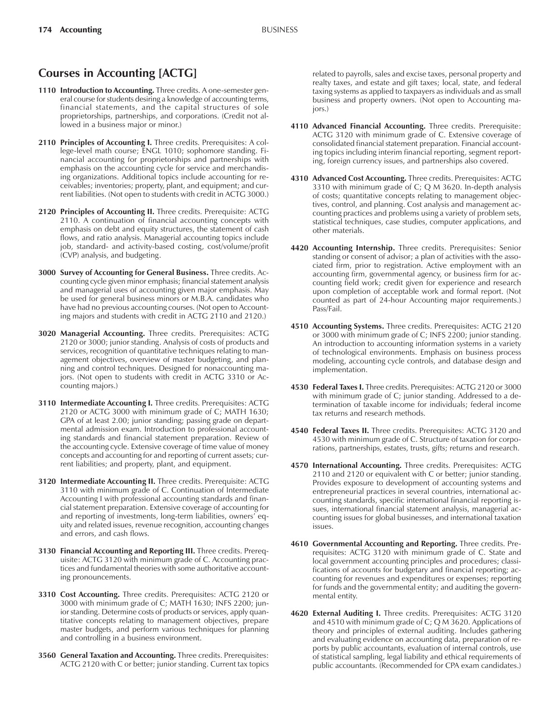## **Courses in Accounting [ACTG]**

- **1110 Introduction to Accounting.** Three credits. A one-semester general course for students desiring a knowledge of accounting terms, financial statements, and the capital structures of sole proprietorships, partnerships, and corporations. (Credit not allowed in a business major or minor.)
- 2110 Principles of Accounting I. Three credits. Prerequisites: A college-level math course; ENGL 1010; sophomore standing. Financial accounting for proprietorships and partnerships with emphasis on the accounting cycle for service and merchandising organizations. Additional topics include accounting for receivables; inventories; property, plant, and equipment; and current liabilities. (Not open to students with credit in ACTG 3000.)
- **2120 Principles of Accounting II.** Three credits. Prerequisite: ACTG 2110. A continuation of financial accounting concepts with emphasis on debt and equity structures, the statement of cash flows, and ratio analysis. Managerial accounting topics include job, standard- and activity-based costing, cost/volume/profit (CVP) analysis, and budgeting.
- **3000 Survey of Accounting for General Business.** Three credits. Accounting cycle given minor emphasis; financial statement analysis and managerial uses of accounting given major emphasis. May be used for general business minors or M.B.A. candidates who have had no previous accounting courses. (Not open to Accounting majors and students with credit in ACTG 2110 and 2120.)
- **3020 Managerial Accounting.** Three credits. Prerequisites: ACTG 2120 or 3000; junior standing. Analysis of costs of products and services, recognition of quantitative techniques relating to management objectives, overview of master budgeting, and planning and control techniques. Designed for nonaccounting majors. (Not open to students with credit in ACTG 3310 or Accounting majors.)
- **3110 Intermediate Accounting I.** Three credits. Prerequisites: ACTG 2120 or ACTG 3000 with minimum grade of C; MATH 1630; GPA of at least 2.00; junior standing; passing grade on departmental admission exam. Introduction to professional accounting standards and financial statement preparation. Review of the accounting cycle. Extensive coverage of time value of money concepts and accounting for and reporting of current assets; current liabilities; and property, plant, and equipment.
- **3120 Intermediate Accounting II.** Three credits. Prerequisite: ACTG 3110 with minimum grade of C. Continuation of Intermediate Accounting I with professional accounting standards and financial statement preparation. Extensive coverage of accounting for and reporting of investments, long-term liabilities, owners' equity and related issues, revenue recognition, accounting changes and errors, and cash flows.
- **3130 Financial Accounting and Reporting III.** Three credits. Prerequisite: ACTG 3120 with minimum grade of C. Accounting practices and fundamental theories with some authoritative accounting pronouncements.
- **3310 Cost Accounting.** Three credits. Prerequisites: ACTG 2120 or 3000 with minimum grade of C; MATH 1630; INFS 2200; junior standing. Determine costs of products or services, apply quantitative concepts relating to management objectives, prepare master budgets, and perform various techniques for planning and controlling in a business environment.
- **3560 General Taxation and Accounting.** Three credits. Prerequisites: ACTG 2120 with C or better; junior standing. Current tax topics

related to payrolls, sales and excise taxes, personal property and realty taxes, and estate and gift taxes; local, state, and federal taxing systems as applied to taxpayers as individuals and as small business and property owners. (Not open to Accounting majors.)

- **4110 Advanced Financial Accounting.** Three credits. Prerequisite: ACTG 3120 with minimum grade of C. Extensive coverage of consolidated financial statement preparation. Financial accounting topics including interim financial reporting, segment reporting, foreign currency issues, and partnerships also covered.
- **4310 Advanced Cost Accounting.** Three credits. Prerequisites: ACTG 3310 with minimum grade of C; Q M 3620. In-depth analysis of costs; quantitative concepts relating to management objectives, control, and planning. Cost analysis and management accounting practices and problems using a variety of problem sets, statistical techniques, case studies, computer applications, and other materials.
- **4420 Accounting Internship.** Three credits. Prerequisites: Senior standing or consent of advisor; a plan of activities with the associated firm, prior to registration. Active employment with an accounting firm, governmental agency, or business firm for accounting field work; credit given for experience and research upon completion of acceptable work and formal report. (Not counted as part of 24-hour Accounting major requirements.) Pass/Fail.
- **4510 Accounting Systems.** Three credits. Prerequisites: ACTG 2120 or 3000 with minimum grade of C; INFS 2200; junior standing. An introduction to accounting information systems in a variety of technological environments. Emphasis on business process modeling, accounting cycle controls, and database design and implementation.
- **4530 Federal Taxes I.** Three credits. Prerequisites: ACTG 2120 or 3000 with minimum grade of C; junior standing. Addressed to a determination of taxable income for individuals; federal income tax returns and research methods.
- **4540 Federal Taxes II.** Three credits. Prerequisites: ACTG 3120 and 4530 with minimum grade of C. Structure of taxation for corporations, partnerships, estates, trusts, gifts; returns and research.
- **4570 International Accounting.** Three credits. Prerequisites: ACTG 2110 and 2120 or equivalent with C or better; junior standing. Provides exposure to development of accounting systems and entrepreneurial practices in several countries, international accounting standards, specific international financial reporting issues, international financial statement analysis, managerial accounting issues for global businesses, and international taxation issues.
- **4610 Governmental Accounting and Reporting.** Three credits. Prerequisites: ACTG 3120 with minimum grade of C. State and local government accounting principles and procedures; classifications of accounts for budgetary and financial reporting; accounting for revenues and expenditures or expenses; reporting for funds and the governmental entity; and auditing the governmental entity.
- **4620 External Auditing I.** Three credits. Prerequisites: ACTG 3120 and 4510 with minimum grade of C; Q M 3620. Applications of theory and principles of external auditing. Includes gathering and evaluating evidence on accounting data, preparation of reports by public accountants, evaluation of internal controls, use of statistical sampling, legal liability and ethical requirements of public accountants. (Recommended for CPA exam candidates.)